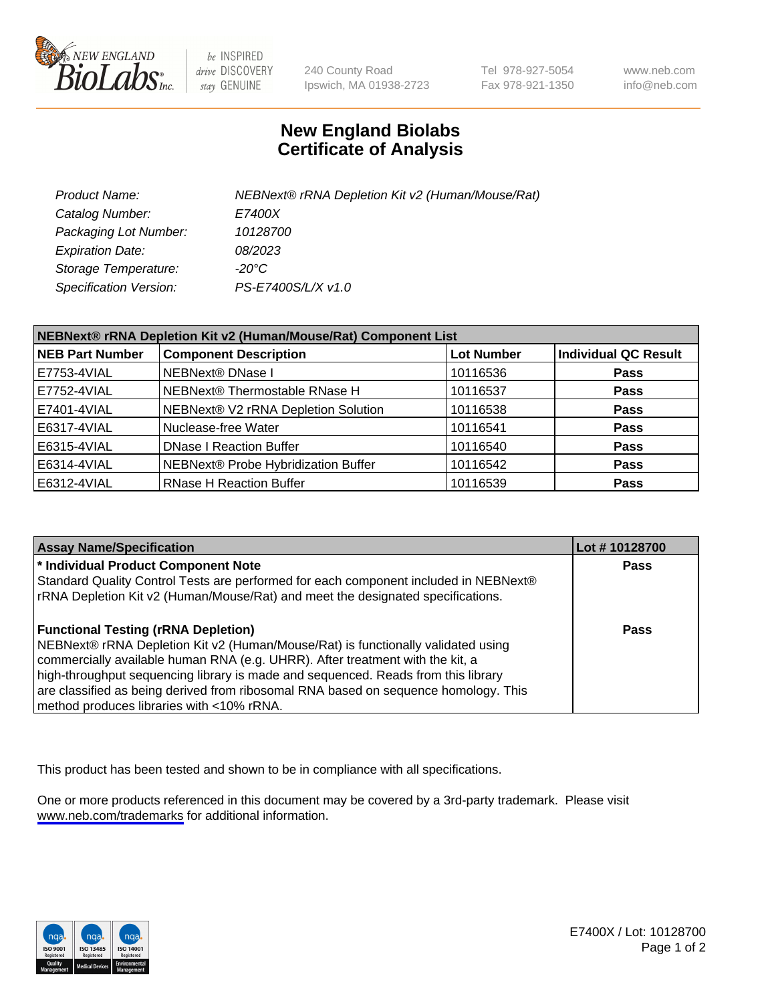

be INSPIRED drive DISCOVERY stay GENUINE

240 County Road Ipswich, MA 01938-2723 Tel 978-927-5054 Fax 978-921-1350

www.neb.com info@neb.com

## **New England Biolabs Certificate of Analysis**

| Product Name:           | NEBNext® rRNA Depletion Kit v2 (Human/Mouse/Rat) |
|-------------------------|--------------------------------------------------|
| Catalog Number:         | <i>E7400X</i>                                    |
| Packaging Lot Number:   | 10128700                                         |
| <b>Expiration Date:</b> | 08/2023                                          |
| Storage Temperature:    | -20°C                                            |
| Specification Version:  | PS-E7400S/L/X v1.0                               |

| NEBNext® rRNA Depletion Kit v2 (Human/Mouse/Rat) Component List |                                     |                   |                             |  |
|-----------------------------------------------------------------|-------------------------------------|-------------------|-----------------------------|--|
| <b>NEB Part Number</b>                                          | <b>Component Description</b>        | <b>Lot Number</b> | <b>Individual QC Result</b> |  |
| E7753-4VIAL                                                     | NEBNext® DNase I                    | 10116536          | <b>Pass</b>                 |  |
| E7752-4VIAL                                                     | NEBNext® Thermostable RNase H       | 10116537          | <b>Pass</b>                 |  |
| E7401-4VIAL                                                     | NEBNext® V2 rRNA Depletion Solution | 10116538          | <b>Pass</b>                 |  |
| E6317-4VIAL                                                     | Nuclease-free Water                 | 10116541          | <b>Pass</b>                 |  |
| E6315-4VIAL                                                     | <b>DNase I Reaction Buffer</b>      | 10116540          | <b>Pass</b>                 |  |
| E6314-4VIAL                                                     | NEBNext® Probe Hybridization Buffer | 10116542          | <b>Pass</b>                 |  |
| E6312-4VIAL                                                     | <b>RNase H Reaction Buffer</b>      | 10116539          | <b>Pass</b>                 |  |

| <b>Assay Name/Specification</b>                                                      | Lot #10128700 |
|--------------------------------------------------------------------------------------|---------------|
| * Individual Product Component Note                                                  | <b>Pass</b>   |
| Standard Quality Control Tests are performed for each component included in NEBNext® |               |
| rRNA Depletion Kit v2 (Human/Mouse/Rat) and meet the designated specifications.      |               |
| <b>Functional Testing (rRNA Depletion)</b>                                           | Pass          |
| NEBNext® rRNA Depletion Kit v2 (Human/Mouse/Rat) is functionally validated using     |               |
| commercially available human RNA (e.g. UHRR). After treatment with the kit, a        |               |
| high-throughput sequencing library is made and sequenced. Reads from this library    |               |
| are classified as being derived from ribosomal RNA based on sequence homology. This  |               |
| method produces libraries with <10% rRNA.                                            |               |

This product has been tested and shown to be in compliance with all specifications.

One or more products referenced in this document may be covered by a 3rd-party trademark. Please visit <www.neb.com/trademarks>for additional information.